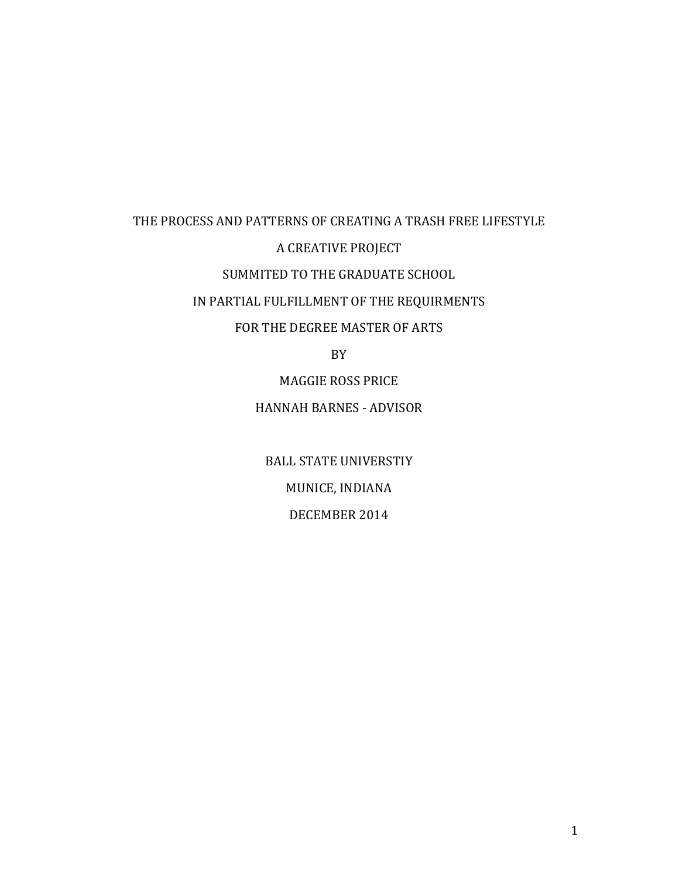# THE PROCESS AND PATTERNS OF CREATING A TRASH FREE LIFESTYLE A CREATIVE PROJECT SUMMITED TO THE GRADUATE SCHOOL IN PARTIAL FULFILLMENT OF THE REQUIRMENTS FOR THE DEGREE MASTER OF ARTS

BY

MAGGIE ROSS PRICE HANNAH BARNES - ADVISOR

**BALL STATE UNIVERSTIY** MUNICE, INDIANA DECEMBER 2014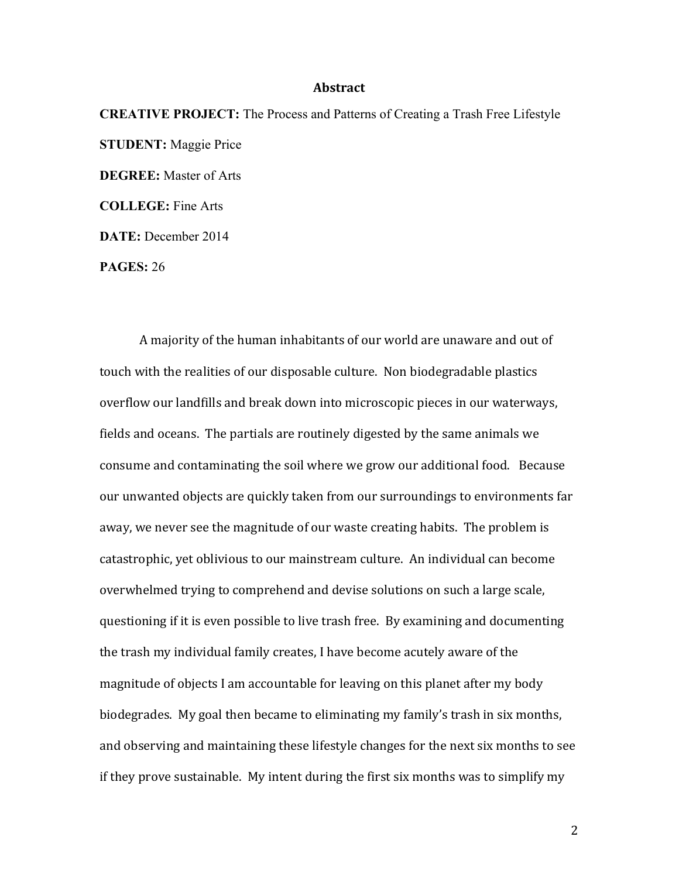# **Abstract**

**CREATIVE PROJECT:** The Process and Patterns of Creating a Trash Free Lifestyle **STUDENT:** Maggie Price **DEGREE:** Master of Arts **COLLEGE:** Fine Arts **DATE:** December 2014

**PAGES:** 26

A majority of the human inhabitants of our world are unaware and out of touch with the realities of our disposable culture. Non biodegradable plastics overflow our landfills and break down into microscopic pieces in our waterways, fields and oceans. The partials are routinely digested by the same animals we consume and contaminating the soil where we grow our additional food. Because our unwanted objects are quickly taken from our surroundings to environments far away, we never see the magnitude of our waste creating habits. The problem is catastrophic, yet oblivious to our mainstream culture. An individual can become overwhelmed trying to comprehend and devise solutions on such a large scale, questioning if it is even possible to live trash free. By examining and documenting the trash my individual family creates, I have become acutely aware of the magnitude of objects I am accountable for leaving on this planet after my body biodegrades. My goal then became to eliminating my family's trash in six months, and observing and maintaining these lifestyle changes for the next six months to see if they prove sustainable. My intent during the first six months was to simplify my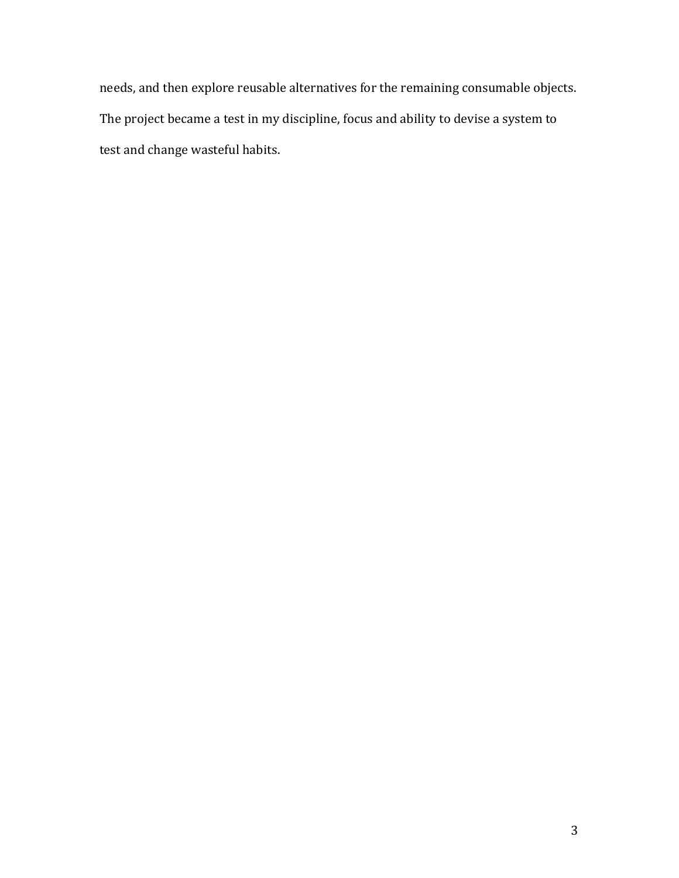needs, and then explore reusable alternatives for the remaining consumable objects. The project became a test in my discipline, focus and ability to devise a system to test and change wasteful habits.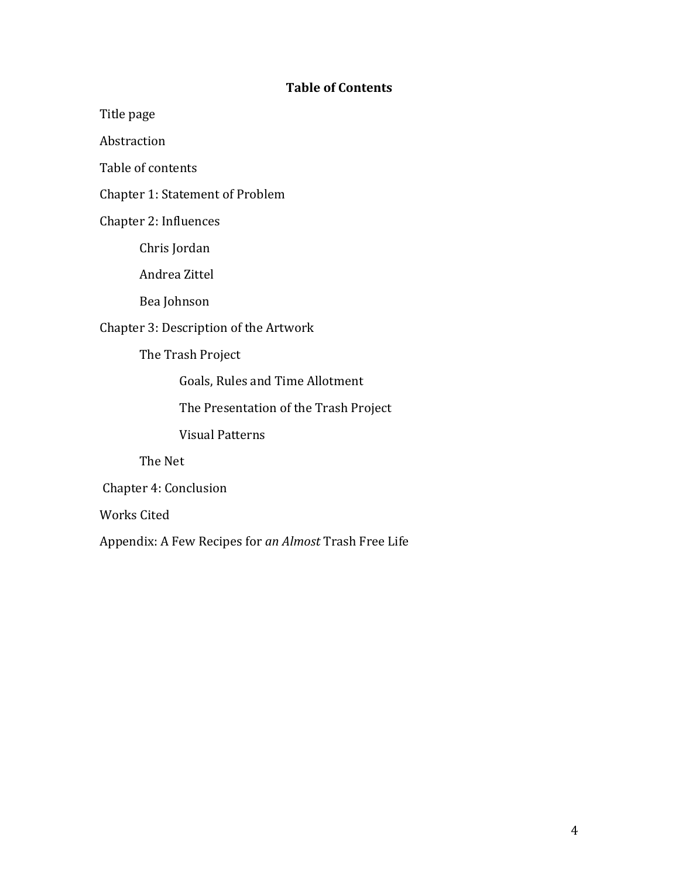# **Table of Contents**

Title page

Abstraction

Table of contents

Chapter 1: Statement of Problem

Chapter 2: Influences

Chris Jordan

Andrea Zittel 

Bea Johnson

Chapter 3: Description of the Artwork

The Trash Project

Goals, Rules and Time Allotment

The Presentation of the Trash Project

Visual Patterns

The Net

Chapter 4: Conclusion

Works Cited

Appendix: A Few Recipes for *an Almost* Trash Free Life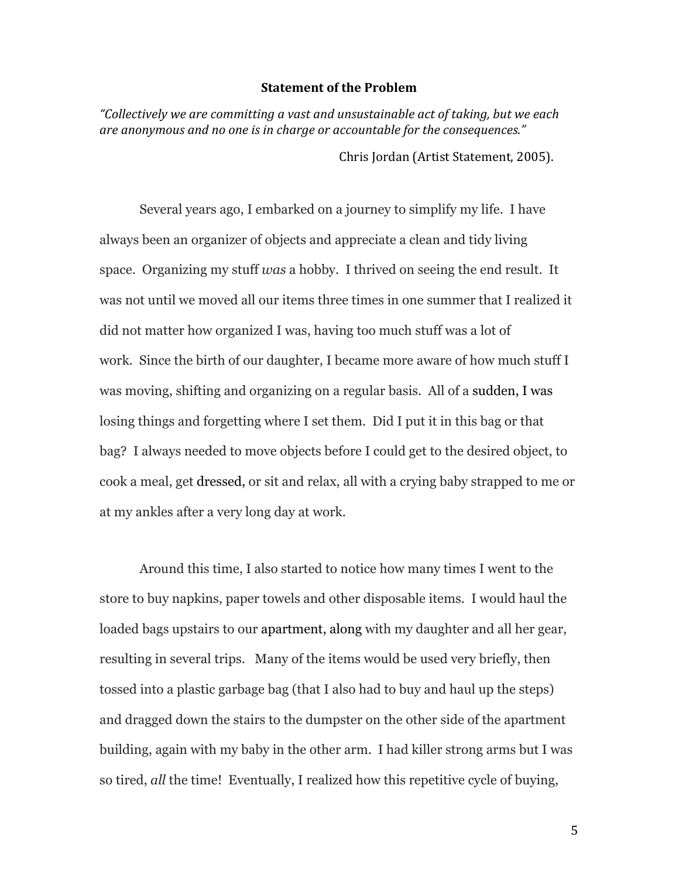#### **Statement of the Problem**

*"Collectively we are committing a vast and unsustainable act of taking, but we each*  are anonymous and no one is in charge or accountable for the consequences." Chris Jordan (Artist Statement, 2005).

Several years ago, I embarked on a journey to simplify my life. I have always been an organizer of objects and appreciate a clean and tidy living space. Organizing my stuff *was* a hobby. I thrived on seeing the end result. It was not until we moved all our items three times in one summer that I realized it did not matter how organized I was, having too much stuff was a lot of work. Since the birth of our daughter, I became more aware of how much stuff I was moving, shifting and organizing on a regular basis. All of a sudden, I was losing things and forgetting where I set them. Did I put it in this bag or that bag? I always needed to move objects before I could get to the desired object, to cook a meal, get dressed, or sit and relax, all with a crying baby strapped to me or at my ankles after a very long day at work.

Around this time, I also started to notice how many times I went to the store to buy napkins, paper towels and other disposable items. I would haul the loaded bags upstairs to our apartment, along with my daughter and all her gear, resulting in several trips. Many of the items would be used very briefly, then tossed into a plastic garbage bag (that I also had to buy and haul up the steps) and dragged down the stairs to the dumpster on the other side of the apartment building, again with my baby in the other arm. I had killer strong arms but I was so tired, *all* the time! Eventually, I realized how this repetitive cycle of buying,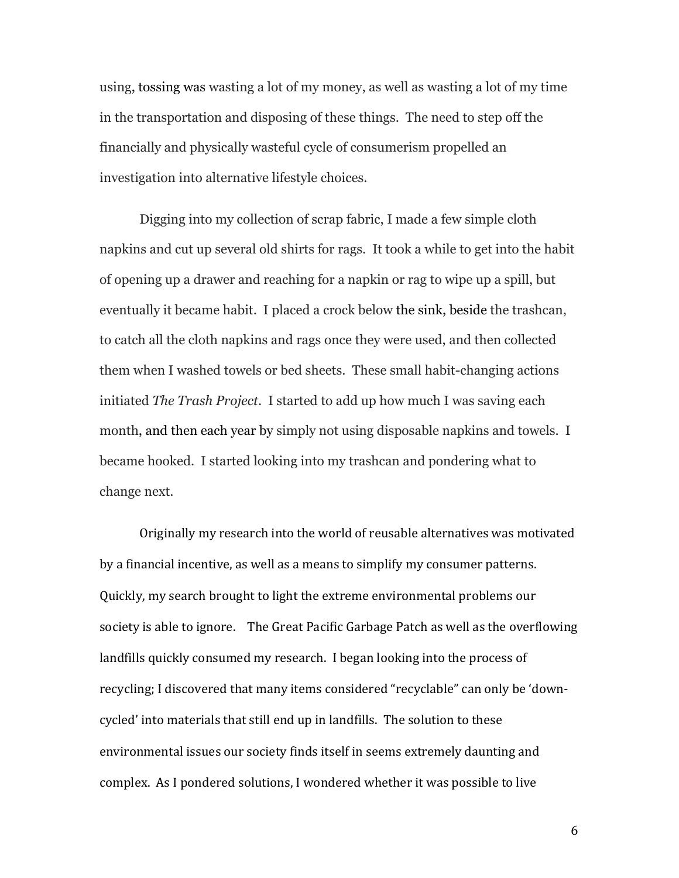using, tossing was wasting a lot of my money, as well as wasting a lot of my time in the transportation and disposing of these things. The need to step off the financially and physically wasteful cycle of consumerism propelled an investigation into alternative lifestyle choices.

Digging into my collection of scrap fabric, I made a few simple cloth napkins and cut up several old shirts for rags. It took a while to get into the habit of opening up a drawer and reaching for a napkin or rag to wipe up a spill, but eventually it became habit. I placed a crock below the sink, beside the trashcan, to catch all the cloth napkins and rags once they were used, and then collected them when I washed towels or bed sheets. These small habit-changing actions initiated *The Trash Project*. I started to add up how much I was saving each month, and then each year by simply not using disposable napkins and towels. I became hooked. I started looking into my trashcan and pondering what to change next.

Originally my research into the world of reusable alternatives was motivated by a financial incentive, as well as a means to simplify my consumer patterns. Quickly, my search brought to light the extreme environmental problems our society is able to ignore. The Great Pacific Garbage Patch as well as the overflowing landfills quickly consumed my research. I began looking into the process of recycling; I discovered that many items considered "recyclable" can only be 'downcycled' into materials that still end up in landfills. The solution to these environmental issues our society finds itself in seems extremely daunting and complex. As I pondered solutions, I wondered whether it was possible to live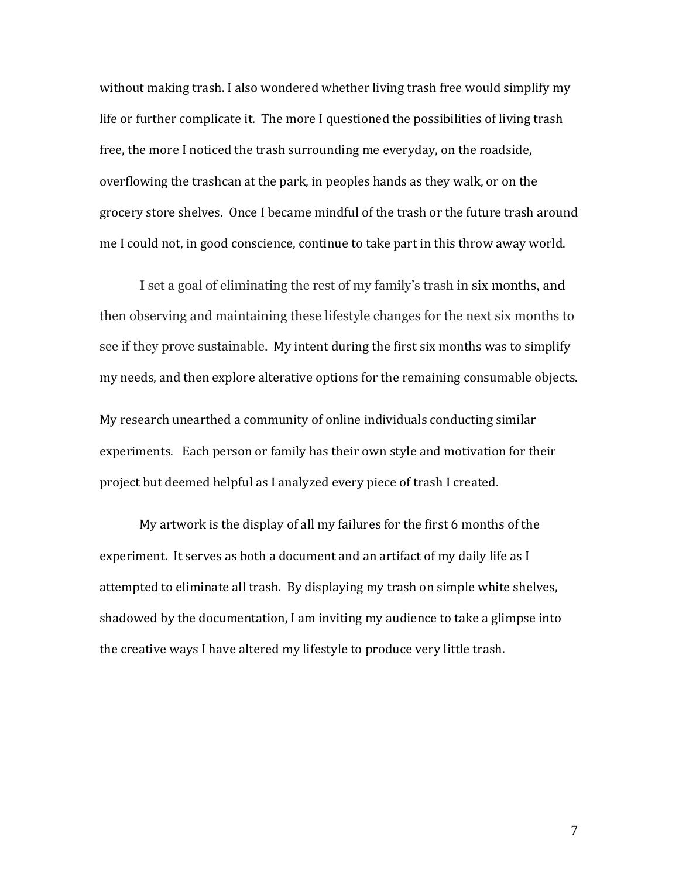without making trash. I also wondered whether living trash free would simplify my life or further complicate it. The more I questioned the possibilities of living trash free, the more I noticed the trash surrounding me everyday, on the roadside, overflowing the trashcan at the park, in peoples hands as they walk, or on the grocery store shelves. Once I became mindful of the trash or the future trash around me I could not, in good conscience, continue to take part in this throw away world.

I set a goal of eliminating the rest of my family's trash in six months, and then observing and maintaining these lifestyle changes for the next six months to see if they prove sustainable. My intent during the first six months was to simplify my needs, and then explore alterative options for the remaining consumable objects. My research unearthed a community of online individuals conducting similar experiments. Each person or family has their own style and motivation for their project but deemed helpful as I analyzed every piece of trash I created.

My artwork is the display of all my failures for the first  $6$  months of the experiment. It serves as both a document and an artifact of my daily life as I attempted to eliminate all trash. By displaying my trash on simple white shelves, shadowed by the documentation, I am inviting my audience to take a glimpse into the creative ways I have altered my lifestyle to produce very little trash.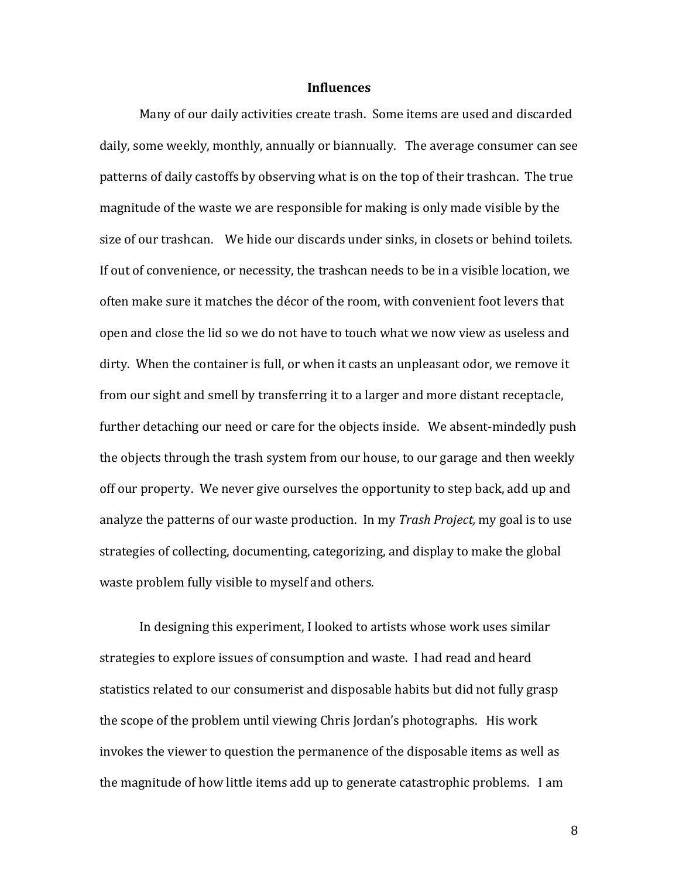#### **Influences**

Many of our daily activities create trash. Some items are used and discarded daily, some weekly, monthly, annually or biannually. The average consumer can see patterns of daily castoffs by observing what is on the top of their trashcan. The true magnitude of the waste we are responsible for making is only made visible by the size of our trashcan. We hide our discards under sinks, in closets or behind toilets. If out of convenience, or necessity, the trashcan needs to be in a visible location, we often make sure it matches the décor of the room, with convenient foot levers that open and close the lid so we do not have to touch what we now view as useless and dirty. When the container is full, or when it casts an unpleasant odor, we remove it from our sight and smell by transferring it to a larger and more distant receptacle, further detaching our need or care for the objects inside. We absent-mindedly push the objects through the trash system from our house, to our garage and then weekly off our property. We never give ourselves the opportunity to step back, add up and analyze the patterns of our waste production. In my *Trash Project*, my goal is to use strategies of collecting, documenting, categorizing, and display to make the global waste problem fully visible to myself and others.

In designing this experiment, I looked to artists whose work uses similar strategies to explore issues of consumption and waste. I had read and heard statistics related to our consumerist and disposable habits but did not fully grasp the scope of the problem until viewing Chris Jordan's photographs. His work invokes the viewer to question the permanence of the disposable items as well as the magnitude of how little items add up to generate catastrophic problems. I am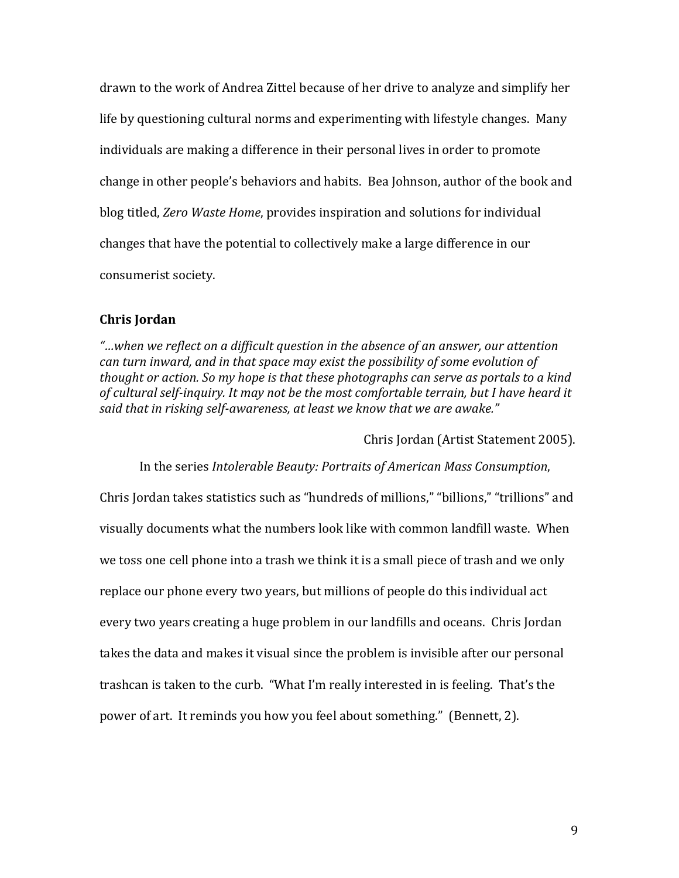drawn to the work of Andrea Zittel because of her drive to analyze and simplify her life by questioning cultural norms and experimenting with lifestyle changes. Many individuals are making a difference in their personal lives in order to promote change in other people's behaviors and habits. Bea Johnson, author of the book and blog titled, *Zero Waste Home*, provides inspiration and solutions for individual changes that have the potential to collectively make a large difference in our consumerist society.

#### **Chris Jordan**

*"…when we reflect on a difficult question in the absence of an answer, our attention can turn inward, and in that space may exist the possibility of some evolution of thought or action.* So my hope is that these photographs can serve as portals to a kind of cultural self-inquiry. It may not be the most comfortable terrain, but I have heard it *said that in risking self-awareness, at least we know that we are awake."*

Chris Jordan (Artist Statement 2005).

In the series *Intolerable Beauty: Portraits of American Mass Consumption*, Chris Jordan takes statistics such as "hundreds of millions," "billions," "trillions" and visually documents what the numbers look like with common landfill waste. When we toss one cell phone into a trash we think it is a small piece of trash and we only replace our phone every two years, but millions of people do this individual act every two years creating a huge problem in our landfills and oceans. Chris Jordan takes the data and makes it visual since the problem is invisible after our personal trashcan is taken to the curb. "What I'm really interested in is feeling. That's the power of art. It reminds you how you feel about something." (Bennett, 2).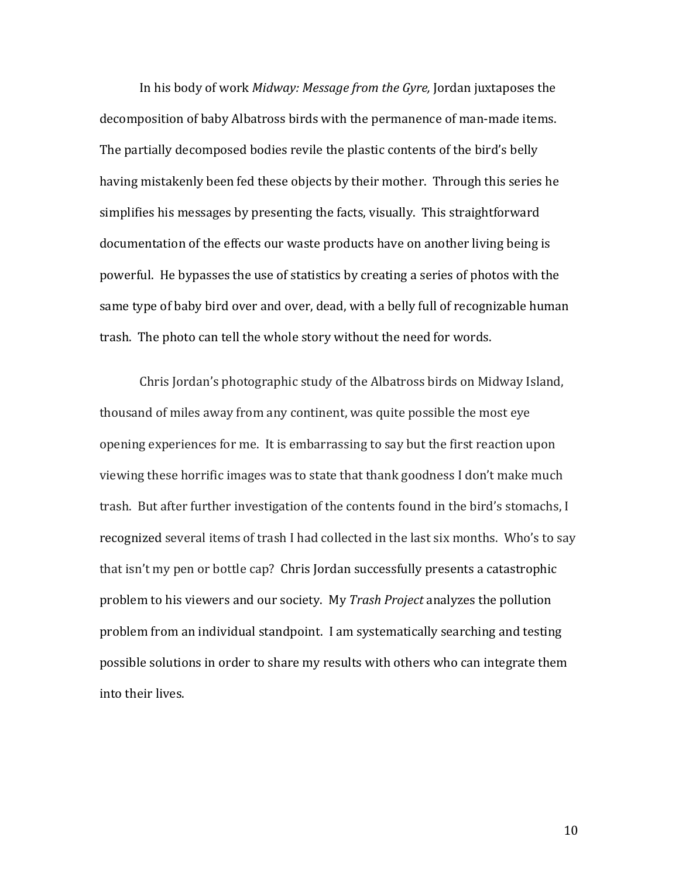In his body of work *Midway: Message from the Gyre*, Jordan juxtaposes the decomposition of baby Albatross birds with the permanence of man-made items. The partially decomposed bodies revile the plastic contents of the bird's belly having mistakenly been fed these objects by their mother. Through this series he simplifies his messages by presenting the facts, visually. This straightforward documentation of the effects our waste products have on another living being is powerful. He bypasses the use of statistics by creating a series of photos with the same type of baby bird over and over, dead, with a belly full of recognizable human trash. The photo can tell the whole story without the need for words.

Chris Jordan's photographic study of the Albatross birds on Midway Island, thousand of miles away from any continent, was quite possible the most eye opening experiences for me. It is embarrassing to say but the first reaction upon viewing these horrific images was to state that thank goodness I don't make much trash. But after further investigation of the contents found in the bird's stomachs, I recognized several items of trash I had collected in the last six months. Who's to say that isn't my pen or bottle cap? Chris Jordan successfully presents a catastrophic problem to his viewers and our society. My *Trash Project* analyzes the pollution problem from an individual standpoint. I am systematically searching and testing possible solutions in order to share my results with others who can integrate them into their lives.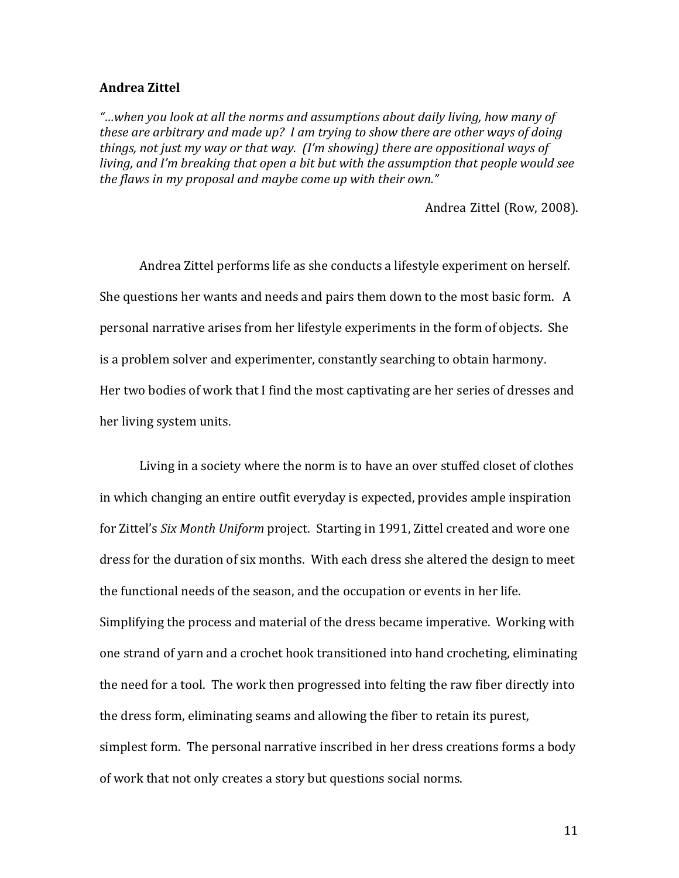# **Andrea Zittel**

*"…when you look at all the norms and assumptions about daily living, how many of these are arbitrary and made up? I am trying to show there are other ways of doing things, not just my way or that way. (I'm showing) there are oppositional ways of living, and I'm breaking that open a bit but with the assumption that people would see* the flaws in my proposal and maybe come up with their own."

Andrea Zittel (Row, 2008).

Andrea Zittel performs life as she conducts a lifestyle experiment on herself. She questions her wants and needs and pairs them down to the most basic form. A personal narrative arises from her lifestyle experiments in the form of objects. She is a problem solver and experimenter, constantly searching to obtain harmony. Her two bodies of work that I find the most captivating are her series of dresses and her living system units.

Living in a society where the norm is to have an over stuffed closet of clothes in which changing an entire outfit everyday is expected, provides ample inspiration for Zittel's *Six Month Uniform* project. Starting in 1991, Zittel created and wore one dress for the duration of six months. With each dress she altered the design to meet the functional needs of the season, and the occupation or events in her life. Simplifying the process and material of the dress became imperative. Working with one strand of yarn and a crochet hook transitioned into hand crocheting, eliminating the need for a tool. The work then progressed into felting the raw fiber directly into the dress form, eliminating seams and allowing the fiber to retain its purest, simplest form. The personal narrative inscribed in her dress creations forms a body of work that not only creates a story but questions social norms.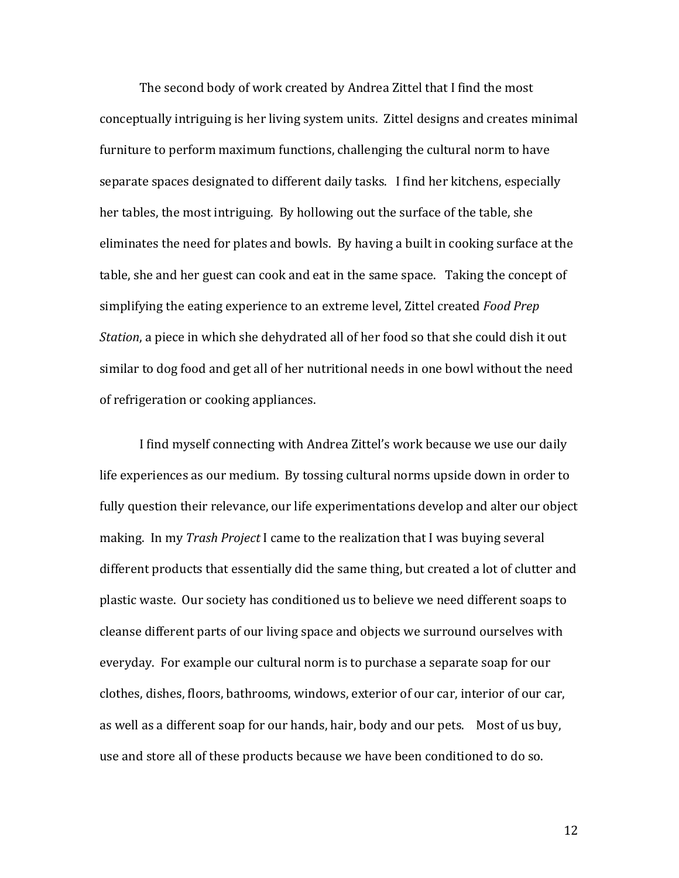The second body of work created by Andrea Zittel that I find the most conceptually intriguing is her living system units. Zittel designs and creates minimal furniture to perform maximum functions, challenging the cultural norm to have separate spaces designated to different daily tasks. I find her kitchens, especially her tables, the most intriguing. By hollowing out the surface of the table, she eliminates the need for plates and bowls. By having a built in cooking surface at the table, she and her guest can cook and eat in the same space. Taking the concept of simplifying the eating experience to an extreme level, Zittel created *Food Prep Station*, a piece in which she dehydrated all of her food so that she could dish it out similar to dog food and get all of her nutritional needs in one bowl without the need of refrigeration or cooking appliances.

I find myself connecting with Andrea Zittel's work because we use our daily life experiences as our medium. By tossing cultural norms upside down in order to fully question their relevance, our life experimentations develop and alter our object making. In my *Trash Project* I came to the realization that I was buying several different products that essentially did the same thing, but created a lot of clutter and plastic waste. Our society has conditioned us to believe we need different soaps to cleanse different parts of our living space and objects we surround ourselves with everyday. For example our cultural norm is to purchase a separate soap for our clothes, dishes, floors, bathrooms, windows, exterior of our car, interior of our car, as well as a different soap for our hands, hair, body and our pets. Most of us buy, use and store all of these products because we have been conditioned to do so.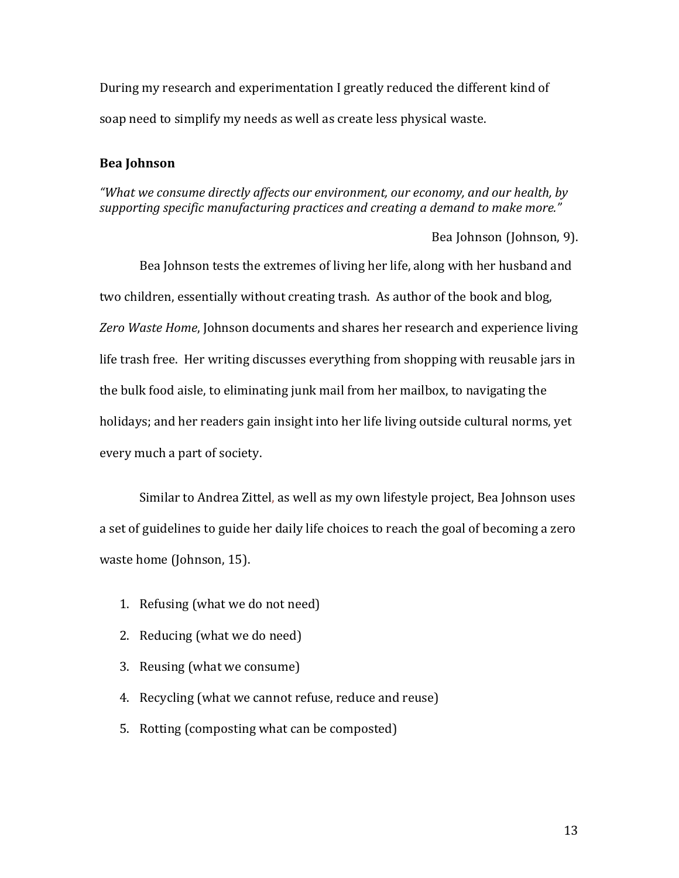During my research and experimentation I greatly reduced the different kind of soap need to simplify my needs as well as create less physical waste.

# **Bea Johnson**

*"What we consume directly affects our environment, our economy, and our health, by*  supporting specific manufacturing practices and creating a demand to make more."

Bea Johnson (Johnson, 9).

Bea Johnson tests the extremes of living her life, along with her husband and two children, essentially without creating trash. As author of the book and blog, Zero Waste Home, Johnson documents and shares her research and experience living life trash free. Her writing discusses everything from shopping with reusable jars in the bulk food aisle, to eliminating junk mail from her mailbox, to navigating the holidays; and her readers gain insight into her life living outside cultural norms, yet every much a part of society.

Similar to Andrea Zittel, as well as my own lifestyle project, Bea Johnson uses a set of guidelines to guide her daily life choices to reach the goal of becoming a zero waste home (Johnson, 15).

- 1. Refusing (what we do not need)
- 2. Reducing (what we do need)
- 3. Reusing (what we consume)
- 4. Recycling (what we cannot refuse, reduce and reuse)
- 5. Rotting (composting what can be composted)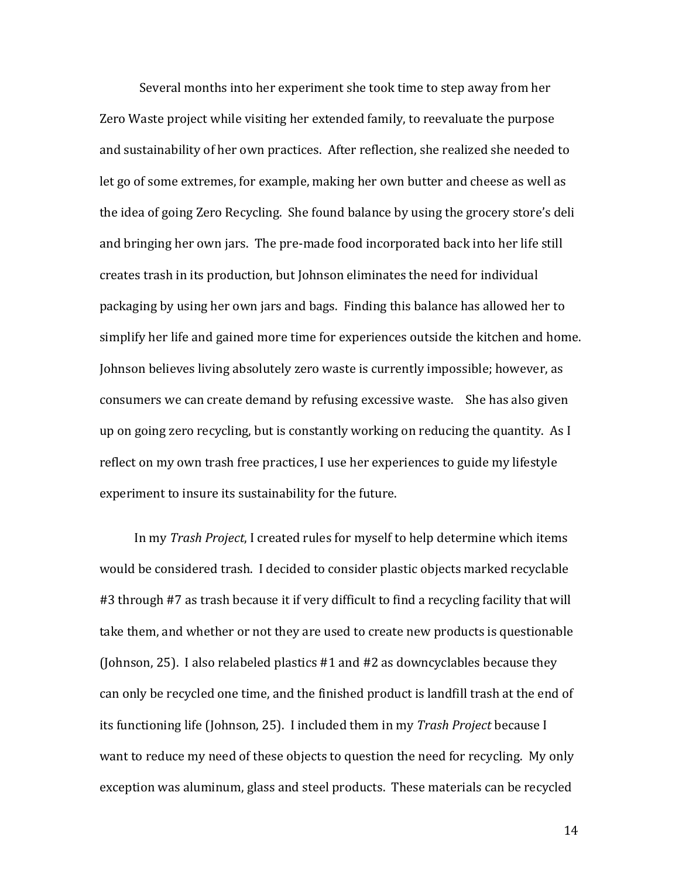Several months into her experiment she took time to step away from her Zero Waste project while visiting her extended family, to reevaluate the purpose and sustainability of her own practices. After reflection, she realized she needed to let go of some extremes, for example, making her own butter and cheese as well as the idea of going Zero Recycling. She found balance by using the grocery store's deli and bringing her own jars. The pre-made food incorporated back into her life still creates trash in its production, but Johnson eliminates the need for individual packaging by using her own jars and bags. Finding this balance has allowed her to simplify her life and gained more time for experiences outside the kitchen and home. Johnson believes living absolutely zero waste is currently impossible; however, as consumers we can create demand by refusing excessive waste. She has also given up on going zero recycling, but is constantly working on reducing the quantity. As I reflect on my own trash free practices, I use her experiences to guide my lifestyle experiment to insure its sustainability for the future.

In my *Trash Project*, I created rules for myself to help determine which items would be considered trash. I decided to consider plastic objects marked recyclable #3 through #7 as trash because it if very difficult to find a recycling facility that will take them, and whether or not they are used to create new products is questionable (Johnson, 25). I also relabeled plastics  $#1$  and  $#2$  as downcyclables because they can only be recycled one time, and the finished product is landfill trash at the end of its functioning life (Johnson, 25). I included them in my *Trash Project* because I want to reduce my need of these objects to question the need for recycling. My only exception was aluminum, glass and steel products. These materials can be recycled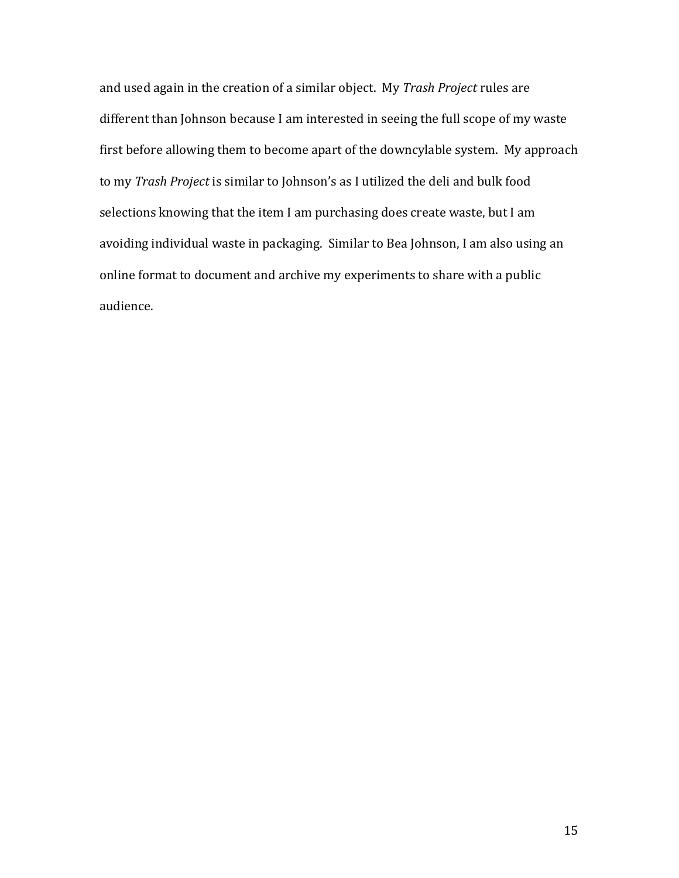and used again in the creation of a similar object. My *Trash Project* rules are different than Johnson because I am interested in seeing the full scope of my waste first before allowing them to become apart of the downcylable system. My approach to my *Trash Project* is similar to Johnson's as I utilized the deli and bulk food selections knowing that the item I am purchasing does create waste, but I am avoiding individual waste in packaging. Similar to Bea Johnson, I am also using an online format to document and archive my experiments to share with a public audience.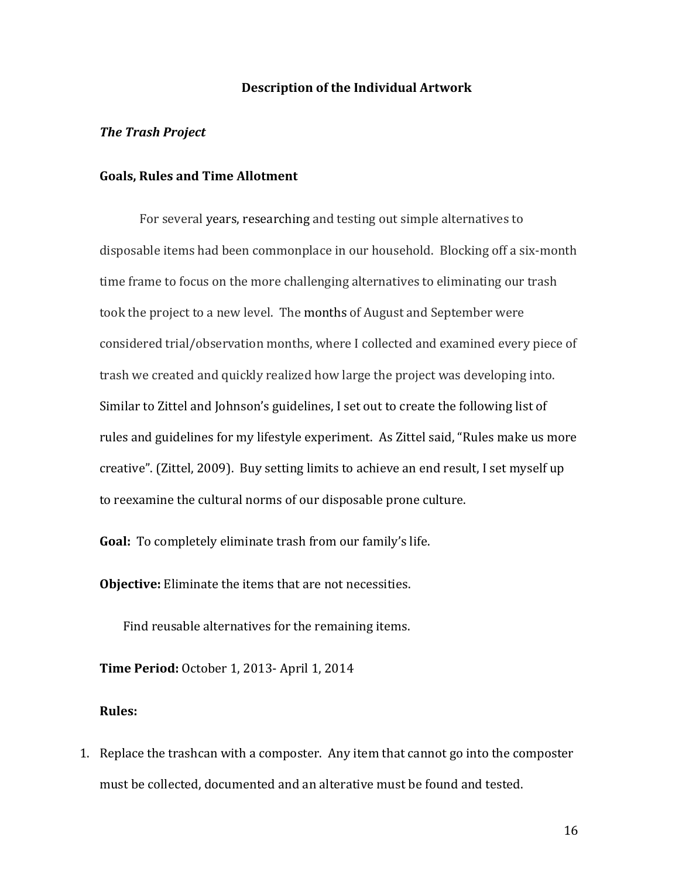#### **Description of the Individual Artwork**

#### *The Trash Project*

#### Goals, Rules and Time Allotment

For several years, researching and testing out simple alternatives to disposable items had been commonplace in our household. Blocking off a six-month time frame to focus on the more challenging alternatives to eliminating our trash took the project to a new level. The months of August and September were considered trial/observation months, where I collected and examined every piece of trash we created and quickly realized how large the project was developing into. Similar to Zittel and Johnson's guidelines, I set out to create the following list of rules and guidelines for my lifestyle experiment. As Zittel said, "Rules make us more creative". (Zittel, 2009). Buy setting limits to achieve an end result, I set myself up to reexamine the cultural norms of our disposable prone culture.

**Goal:** To completely eliminate trash from our family's life.

**Objective:** Eliminate the items that are not necessities.

Find reusable alternatives for the remaining items.

**Time Period:** October 1, 2013- April 1, 2014

## **Rules:**

1. Replace the trashcan with a composter. Any item that cannot go into the composter must be collected, documented and an alterative must be found and tested.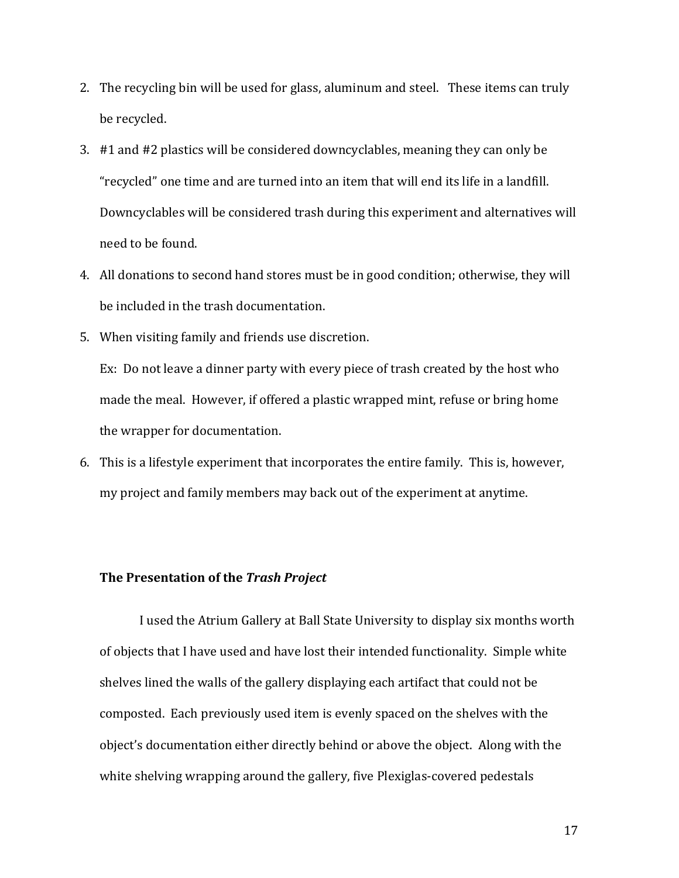- 2. The recycling bin will be used for glass, aluminum and steel. These items can truly be recycled.
- 3. #1 and #2 plastics will be considered downcyclables, meaning they can only be "recycled" one time and are turned into an item that will end its life in a landfill. Downcyclables will be considered trash during this experiment and alternatives will need to be found.
- 4. All donations to second hand stores must be in good condition; otherwise, they will be included in the trash documentation.
- 5. When visiting family and friends use discretion.

Ex: Do not leave a dinner party with every piece of trash created by the host who made the meal. However, if offered a plastic wrapped mint, refuse or bring home the wrapper for documentation.

6. This is a lifestyle experiment that incorporates the entire family. This is, however, my project and family members may back out of the experiment at anytime.

#### **The Presentation of the Trash Project**

I used the Atrium Gallery at Ball State University to display six months worth of objects that I have used and have lost their intended functionality. Simple white shelves lined the walls of the gallery displaying each artifact that could not be composted. Each previously used item is evenly spaced on the shelves with the object's documentation either directly behind or above the object. Along with the white shelving wrapping around the gallery, five Plexiglas-covered pedestals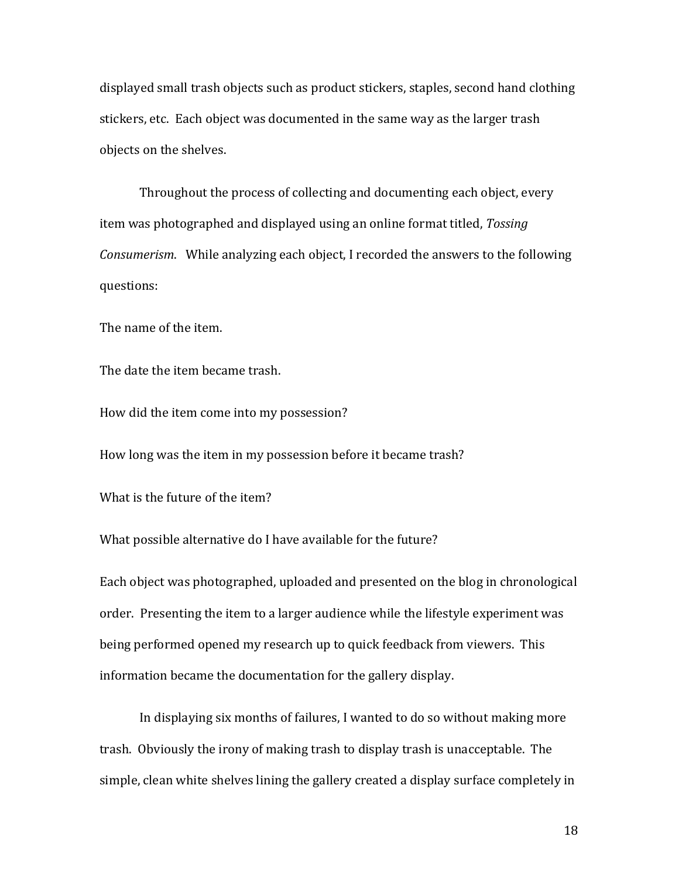displayed small trash objects such as product stickers, staples, second hand clothing stickers, etc. Each object was documented in the same way as the larger trash objects on the shelves.

Throughout the process of collecting and documenting each object, every item was photographed and displayed using an online format titled, *Tossing Consumerism.* While analyzing each object, I recorded the answers to the following questions:

The name of the item.

The date the item became trash.

How did the item come into my possession?

How long was the item in my possession before it became trash?

What is the future of the item?

What possible alternative do I have available for the future?

Each object was photographed, uploaded and presented on the blog in chronological order. Presenting the item to a larger audience while the lifestyle experiment was being performed opened my research up to quick feedback from viewers. This information became the documentation for the gallery display.

In displaying six months of failures, I wanted to do so without making more trash. Obviously the irony of making trash to display trash is unacceptable. The simple, clean white shelves lining the gallery created a display surface completely in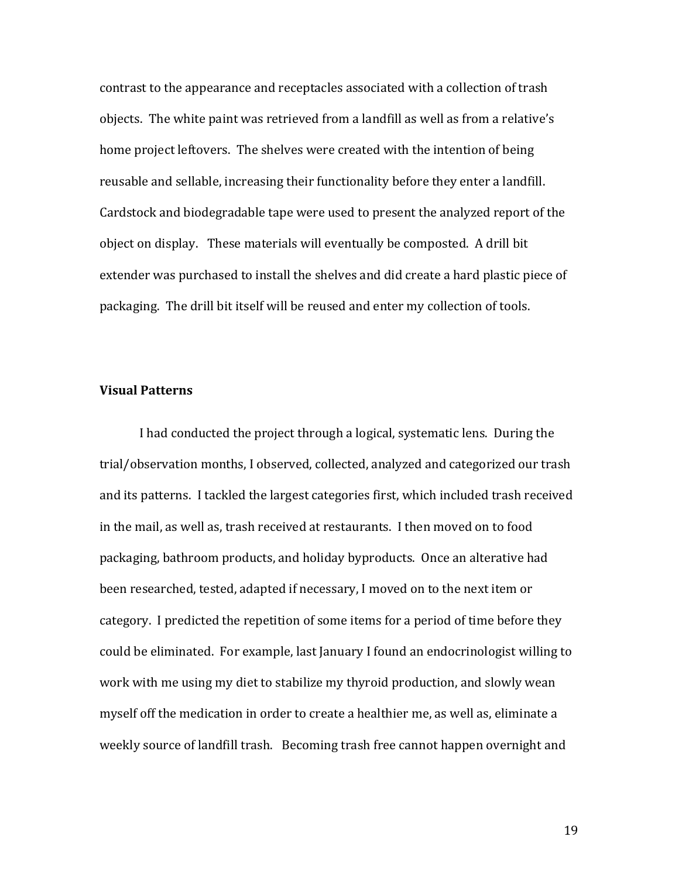contrast to the appearance and receptacles associated with a collection of trash objects. The white paint was retrieved from a landfill as well as from a relative's home project leftovers. The shelves were created with the intention of being reusable and sellable, increasing their functionality before they enter a landfill. Cardstock and biodegradable tape were used to present the analyzed report of the object on display. These materials will eventually be composted. A drill bit extender was purchased to install the shelves and did create a hard plastic piece of packaging. The drill bit itself will be reused and enter my collection of tools.

# **Visual Patterns**

I had conducted the project through a logical, systematic lens. During the trial/observation months, I observed, collected, analyzed and categorized our trash and its patterns. I tackled the largest categories first, which included trash received in the mail, as well as, trash received at restaurants. I then moved on to food packaging, bathroom products, and holiday byproducts. Once an alterative had been researched, tested, adapted if necessary, I moved on to the next item or category. I predicted the repetition of some items for a period of time before they could be eliminated. For example, last January I found an endocrinologist willing to work with me using my diet to stabilize my thyroid production, and slowly wean myself off the medication in order to create a healthier me, as well as, eliminate a weekly source of landfill trash. Becoming trash free cannot happen overnight and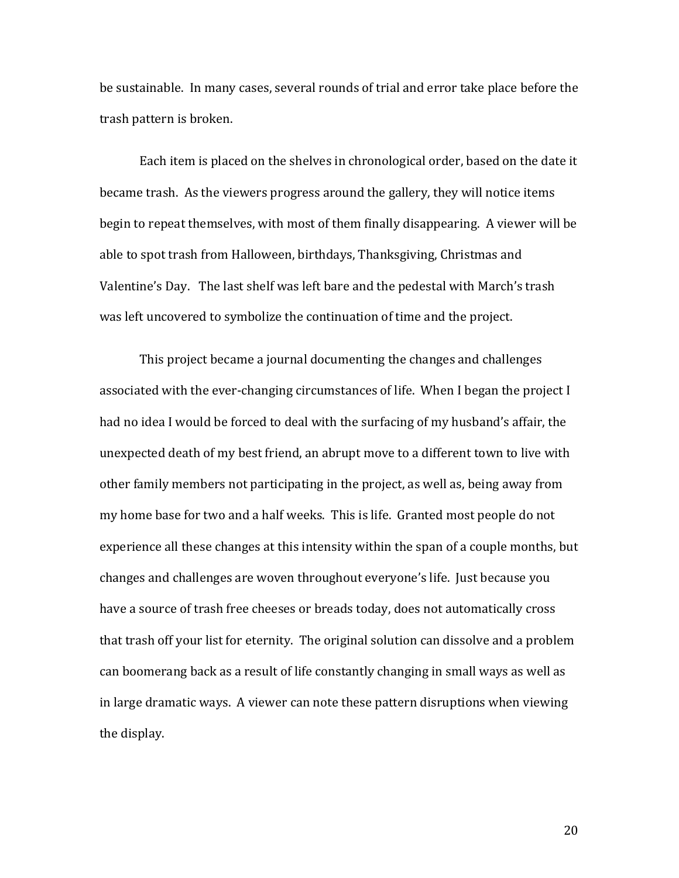be sustainable. In many cases, several rounds of trial and error take place before the trash pattern is broken.

Each item is placed on the shelves in chronological order, based on the date it became trash. As the viewers progress around the gallery, they will notice items begin to repeat themselves, with most of them finally disappearing. A viewer will be able to spot trash from Halloween, birthdays, Thanksgiving, Christmas and Valentine's Day. The last shelf was left bare and the pedestal with March's trash was left uncovered to symbolize the continuation of time and the project.

This project became a journal documenting the changes and challenges associated with the ever-changing circumstances of life. When I began the project I had no idea I would be forced to deal with the surfacing of my husband's affair, the unexpected death of my best friend, an abrupt move to a different town to live with other family members not participating in the project, as well as, being away from my home base for two and a half weeks. This is life. Granted most people do not experience all these changes at this intensity within the span of a couple months, but changes and challenges are woven throughout everyone's life. Just because you have a source of trash free cheeses or breads today, does not automatically cross that trash off your list for eternity. The original solution can dissolve and a problem can boomerang back as a result of life constantly changing in small ways as well as in large dramatic ways. A viewer can note these pattern disruptions when viewing the display.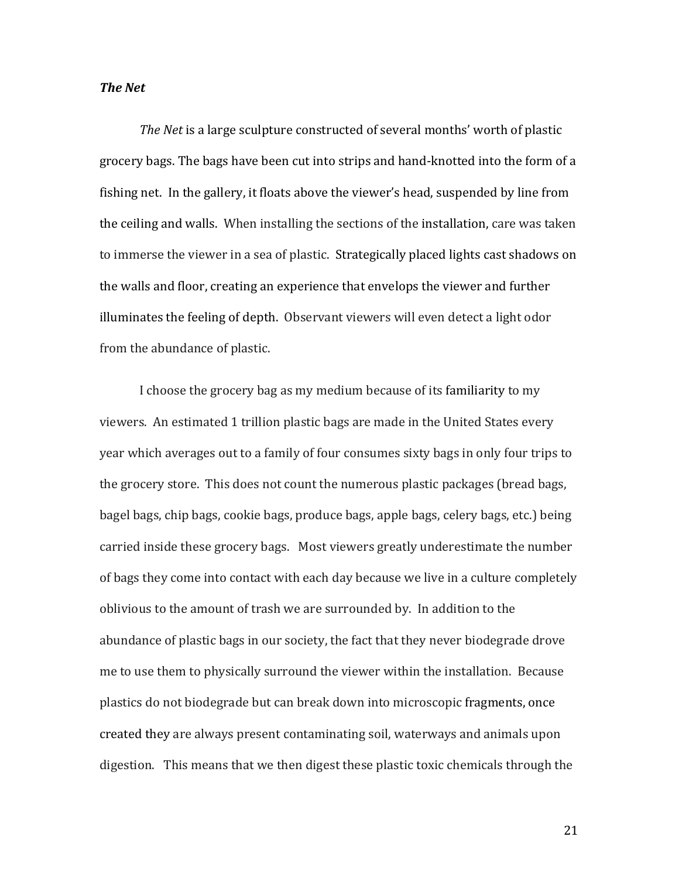# *The Net*

*The Net* is a large sculpture constructed of several months' worth of plastic grocery bags. The bags have been cut into strips and hand-knotted into the form of a fishing net. In the gallery, it floats above the viewer's head, suspended by line from the ceiling and walls. When installing the sections of the installation, care was taken to immerse the viewer in a sea of plastic. Strategically placed lights cast shadows on the walls and floor, creating an experience that envelops the viewer and further illuminates the feeling of depth. Observant viewers will even detect a light odor from the abundance of plastic.

I choose the grocery bag as my medium because of its familiarity to my viewers. An estimated 1 trillion plastic bags are made in the United States every year which averages out to a family of four consumes sixty bags in only four trips to the grocery store. This does not count the numerous plastic packages (bread bags, bagel bags, chip bags, cookie bags, produce bags, apple bags, celery bags, etc.) being carried inside these grocery bags. Most viewers greatly underestimate the number of bags they come into contact with each day because we live in a culture completely oblivious to the amount of trash we are surrounded by. In addition to the abundance of plastic bags in our society, the fact that they never biodegrade drove me to use them to physically surround the viewer within the installation. Because plastics do not biodegrade but can break down into microscopic fragments, once created they are always present contaminating soil, waterways and animals upon digestion. This means that we then digest these plastic toxic chemicals through the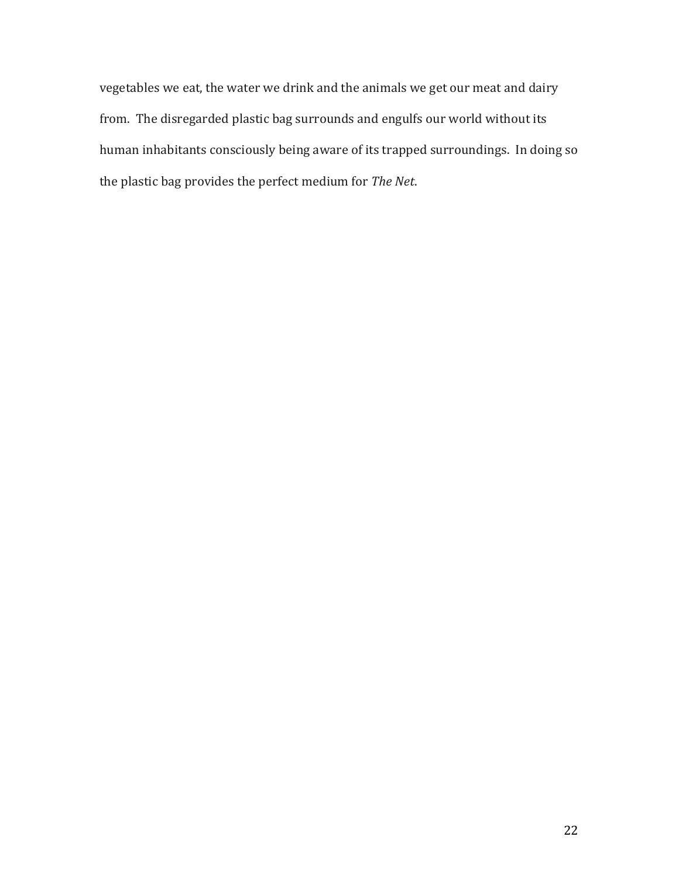vegetables we eat, the water we drink and the animals we get our meat and dairy from. The disregarded plastic bag surrounds and engulfs our world without its human inhabitants consciously being aware of its trapped surroundings. In doing so the plastic bag provides the perfect medium for *The Net*.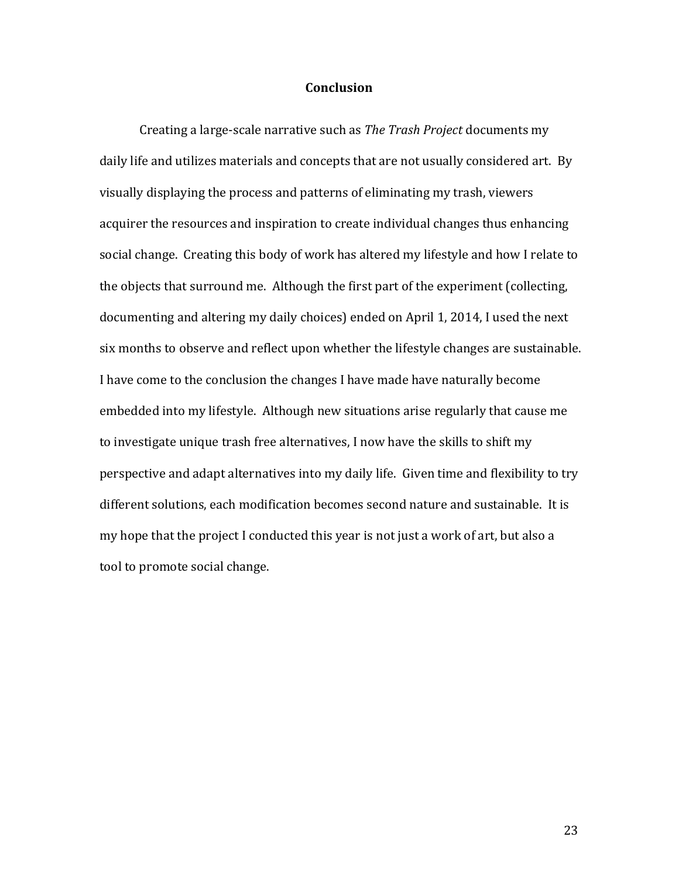## **Conclusion**

Creating a large-scale narrative such as *The Trash Project* documents my daily life and utilizes materials and concepts that are not usually considered art. By visually displaying the process and patterns of eliminating my trash, viewers acquirer the resources and inspiration to create individual changes thus enhancing social change. Creating this body of work has altered my lifestyle and how I relate to the objects that surround me. Although the first part of the experiment (collecting, documenting and altering my daily choices) ended on April 1, 2014, I used the next six months to observe and reflect upon whether the lifestyle changes are sustainable. I have come to the conclusion the changes I have made have naturally become embedded into my lifestyle. Although new situations arise regularly that cause me to investigate unique trash free alternatives, I now have the skills to shift my perspective and adapt alternatives into my daily life. Given time and flexibility to try different solutions, each modification becomes second nature and sustainable. It is my hope that the project I conducted this year is not just a work of art, but also a tool to promote social change.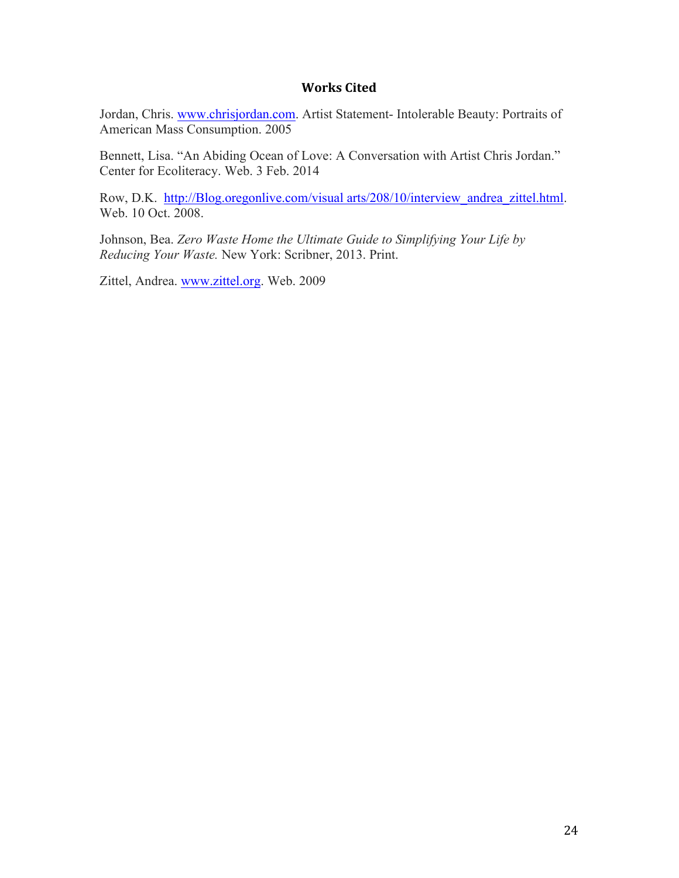# **Works Cited**

Jordan, Chris. www.chrisjordan.com. Artist Statement- Intolerable Beauty: Portraits of American Mass Consumption. 2005

Bennett, Lisa. "An Abiding Ocean of Love: A Conversation with Artist Chris Jordan." Center for Ecoliteracy. Web. 3 Feb. 2014

Row, D.K. http://Blog.oregonlive.com/visual arts/208/10/interview\_andrea\_zittel.html. Web. 10 Oct. 2008.

Johnson, Bea. *Zero Waste Home the Ultimate Guide to Simplifying Your Life by Reducing Your Waste.* New York: Scribner, 2013. Print.

Zittel, Andrea. www.zittel.org. Web. 2009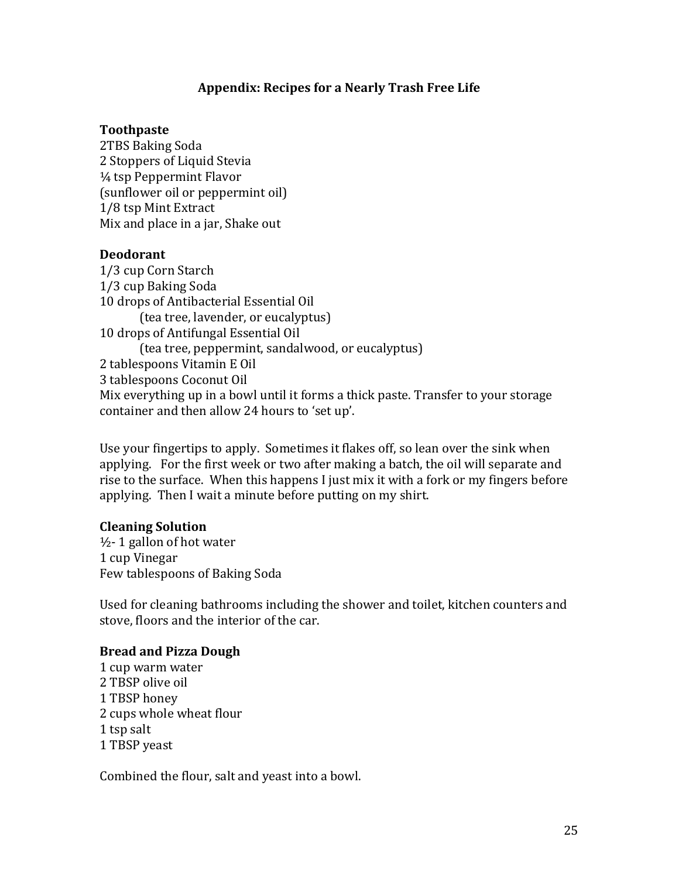# Appendix: Recipes for a Nearly Trash Free Life

# **Toothpaste**

2TBS Baking Soda 2 Stoppers of Liquid Stevia  $\frac{1}{4}$  tsp Peppermint Flavor (sunflower oil or peppermint oil) 1/8 tsp Mint Extract Mix and place in a jar, Shake out

# **Deodorant**

1/3 cup Corn Starch 1/3 cup Baking Soda 10 drops of Antibacterial Essential Oil (tea tree, lavender, or eucalyptus) 10 drops of Antifungal Essential Oil (tea tree, peppermint, sandalwood, or eucalyptus) 2 tablespoons Vitamin E Oil 3 tablespoons Coconut Oil Mix everything up in a bowl until it forms a thick paste. Transfer to your storage container and then allow 24 hours to 'set up'.

Use your fingertips to apply. Sometimes it flakes off, so lean over the sink when applying. For the first week or two after making a batch, the oil will separate and rise to the surface. When this happens I just mix it with a fork or my fingers before applying. Then I wait a minute before putting on my shirt.

# **Cleaning Solution**

 $\frac{1}{2}$ - 1 gallon of hot water 1 cup Vinegar Few tablespoons of Baking Soda

Used for cleaning bathrooms including the shower and toilet, kitchen counters and stove, floors and the interior of the car.

# **Bread and Pizza Dough**

1 cup warm water 2 TBSP olive oil 1 TBSP honey 2 cups whole wheat flour 1 tsp salt 1 TBSP veast

Combined the flour, salt and yeast into a bowl.